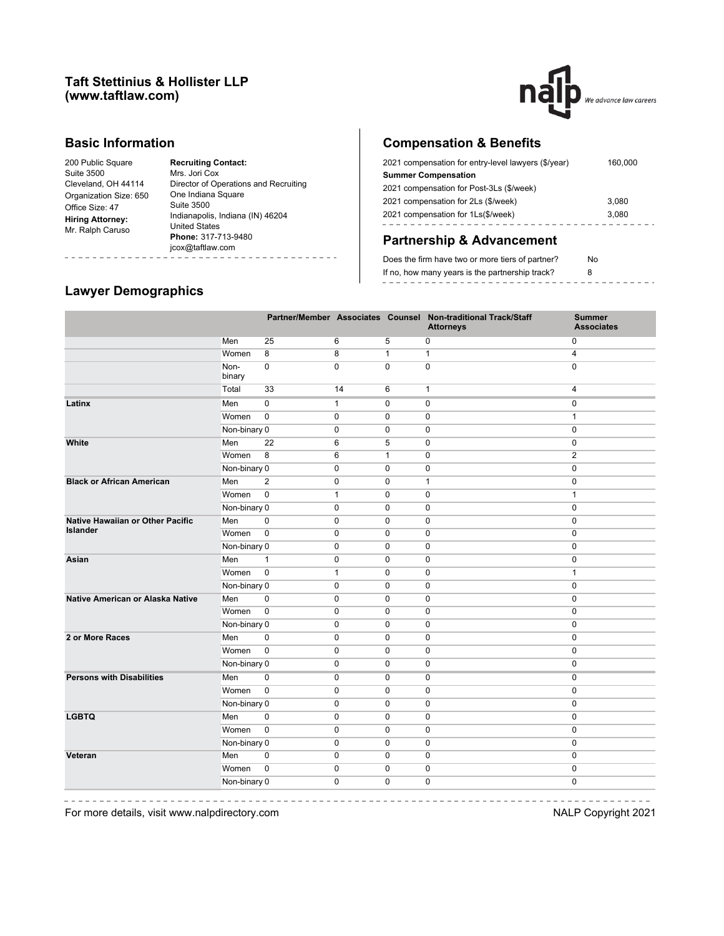#### **Taft Stettinius & Hollister LLP (www.taftlaw.com)**



### **Basic Information**

| <b>Recruiting Contact:</b><br>Mrs. Jori Cox<br>Director of Operations and Recruiting<br>One Indiana Square<br>Suite 3500<br>Indianapolis, Indiana (IN) 46204<br><b>United States</b><br>Phone: 317-713-9480<br>jcox@taftlaw.com |
|---------------------------------------------------------------------------------------------------------------------------------------------------------------------------------------------------------------------------------|
|                                                                                                                                                                                                                                 |

# **Compensation & Benefits**

| 2021 compensation for entry-level lawyers (\$/year) | 160,000 |
|-----------------------------------------------------|---------|
| <b>Summer Compensation</b>                          |         |
| 2021 compensation for Post-3Ls (\$/week)            |         |
| 2021 compensation for 2Ls (\$/week)                 | 3,080   |
| 2021 compensation for 1Ls(\$/week)                  | 3.080   |
|                                                     |         |

## **Partnership & Advancement**

| Does the firm have two or more tiers of partner? | No. |
|--------------------------------------------------|-----|
| If no, how many years is the partnership track?  |     |
|                                                  |     |

### **Lawyer Demographics**

|                                  |                |                |              |              | Partner/Member Associates Counsel Non-traditional Track/Staff<br><b>Attorneys</b> | <b>Summer</b><br><b>Associates</b> |
|----------------------------------|----------------|----------------|--------------|--------------|-----------------------------------------------------------------------------------|------------------------------------|
|                                  | Men            | 25             | 6            | 5            | 0                                                                                 | 0                                  |
|                                  | Women          | 8              | 8            | $\mathbf{1}$ | $\mathbf{1}$                                                                      | 4                                  |
|                                  | Non-<br>binary | $\mathbf 0$    | $\mathbf 0$  | $\Omega$     | 0                                                                                 | $\Omega$                           |
|                                  | Total          | 33             | 14           | 6            | $\mathbf{1}$                                                                      | $\overline{4}$                     |
| Latinx                           | Men            | $\mathbf 0$    | $\mathbf{1}$ | $\mathbf 0$  | 0                                                                                 | 0                                  |
|                                  | Women          | $\mathbf 0$    | 0            | $\mathbf 0$  | 0                                                                                 | $\mathbf{1}$                       |
|                                  | Non-binary 0   |                | 0            | $\mathbf 0$  | $\mathbf 0$                                                                       | 0                                  |
| White                            | Men            | 22             | 6            | 5            | $\mathbf 0$                                                                       | 0                                  |
|                                  | Women          | 8              | 6            | $\mathbf{1}$ | $\mathbf 0$                                                                       | $\overline{2}$                     |
|                                  | Non-binary 0   |                | $\mathbf 0$  | $\mathbf 0$  | $\mathbf 0$                                                                       | 0                                  |
| <b>Black or African American</b> | Men            | $\overline{2}$ | 0            | 0            | 1                                                                                 | 0                                  |
|                                  | Women          | $\mathbf 0$    | $\mathbf{1}$ | $\pmb{0}$    | 0                                                                                 | $\mathbf{1}$                       |
|                                  | Non-binary 0   |                | $\pmb{0}$    | $\pmb{0}$    | 0                                                                                 | 0                                  |
| Native Hawaiian or Other Pacific | Men            | $\pmb{0}$      | $\pmb{0}$    | $\pmb{0}$    | 0                                                                                 | 0                                  |
| Islander                         | Women          | $\mathbf 0$    | 0            | $\pmb{0}$    | 0                                                                                 | 0                                  |
|                                  | Non-binary 0   |                | 0            | $\pmb{0}$    | 0                                                                                 | 0                                  |
| Asian                            | Men            | $\mathbf{1}$   | 0            | 0            | 0                                                                                 | 0                                  |
|                                  | Women          | $\pmb{0}$      | $\mathbf{1}$ | $\mathbf 0$  | 0                                                                                 | $\mathbf{1}$                       |
|                                  | Non-binary 0   |                | 0            | $\mathbf 0$  | 0                                                                                 | 0                                  |
| Native American or Alaska Native | Men            | $\mathbf 0$    | 0            | $\mathbf 0$  | 0                                                                                 | 0                                  |
|                                  | Women          | $\pmb{0}$      | $\mathbf 0$  | $\mathbf 0$  | 0                                                                                 | 0                                  |
|                                  | Non-binary 0   |                | $\mathbf 0$  | $\mathbf 0$  | 0                                                                                 | 0                                  |
| 2 or More Races                  | Men            | $\mathbf 0$    | $\mathbf 0$  | $\mathbf 0$  | 0                                                                                 | 0                                  |
|                                  | Women          | $\pmb{0}$      | $\mathbf 0$  | $\mathbf 0$  | 0                                                                                 | 0                                  |
|                                  | Non-binary 0   |                | $\mathbf 0$  | $\mathbf 0$  | 0                                                                                 | 0                                  |
| <b>Persons with Disabilities</b> | Men            | $\mathbf 0$    | 0            | 0            | 0                                                                                 | 0                                  |
|                                  | Women          | $\mathbf 0$    | $\mathbf 0$  | $\Omega$     | $\mathbf 0$                                                                       | 0                                  |
|                                  | Non-binary 0   |                | $\mathbf 0$  | $\mathbf 0$  | $\mathbf 0$                                                                       | 0                                  |
| <b>LGBTQ</b>                     | Men            | $\mathbf 0$    | $\mathbf 0$  | $\mathbf 0$  | $\mathbf 0$                                                                       | 0                                  |
|                                  | Women          | $\mathbf 0$    | 0            | $\mathbf 0$  | 0                                                                                 | 0                                  |
|                                  | Non-binary 0   |                | 0            | 0            | 0                                                                                 | 0                                  |
| Veteran                          | Men            | $\pmb{0}$      | $\pmb{0}$    | $\pmb{0}$    | 0                                                                                 | 0                                  |
|                                  | Women          | $\mathbf 0$    | $\pmb{0}$    | $\mathbf 0$  | 0                                                                                 | 0                                  |
|                                  | Non-binary 0   |                | $\pmb{0}$    | 0            | 0                                                                                 | 0                                  |

--------------

 $\frac{1}{2} \left( \frac{1}{2} \right) \left( \frac{1}{2} \right) \left( \frac{1}{2} \right) \left( \frac{1}{2} \right) \left( \frac{1}{2} \right) \left( \frac{1}{2} \right) \left( \frac{1}{2} \right) \left( \frac{1}{2} \right) \left( \frac{1}{2} \right) \left( \frac{1}{2} \right) \left( \frac{1}{2} \right) \left( \frac{1}{2} \right) \left( \frac{1}{2} \right) \left( \frac{1}{2} \right) \left( \frac{1}{2} \right) \left( \frac{1}{2} \right) \left( \frac$ 

--------------------------------For more details, visit www.nalpdirectory.com **NALP** Copyright 2021

 $\sim$ 

 $- - - - - - - - -$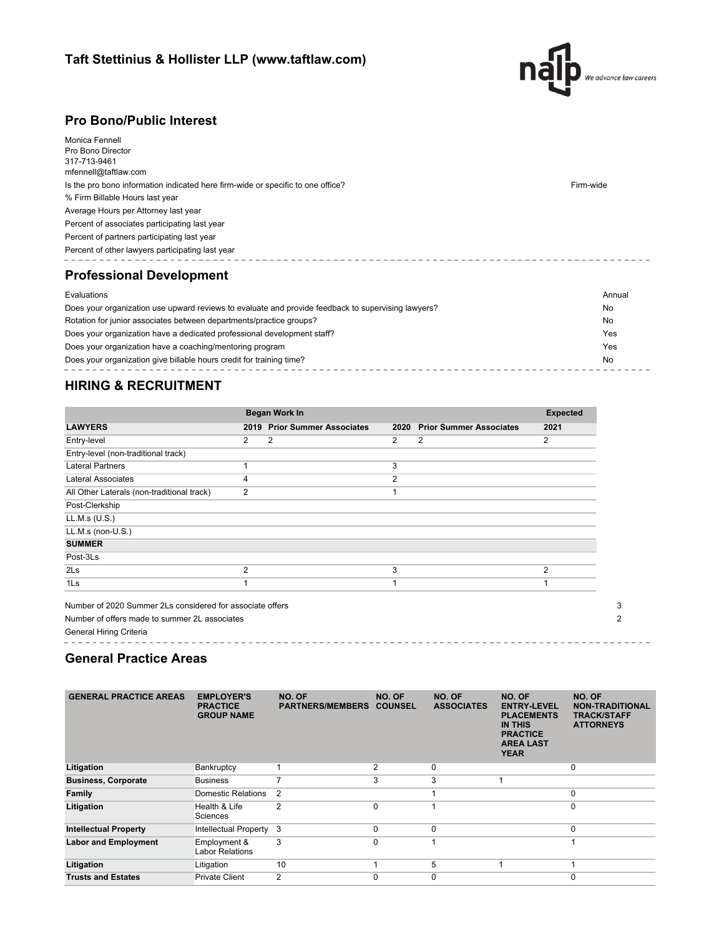

--------------------------------

### **Pro Bono/Public Interest**

| Monica Fennell<br>Pro Bono Director<br>317-713-9461<br>mfennell@taftlaw.com<br>Is the pro bono information indicated here firm-wide or specific to one office?<br>% Firm Billable Hours last year<br>Average Hours per Attorney last year<br>Percent of associates participating last year<br>Percent of partners participating last year<br>Percent of other lawyers participating last year<br><b>Professional Development</b> | Firm-wide          |
|----------------------------------------------------------------------------------------------------------------------------------------------------------------------------------------------------------------------------------------------------------------------------------------------------------------------------------------------------------------------------------------------------------------------------------|--------------------|
| Evaluations<br>Does your organization use upward reviews to evaluate and provide feedback to supervising lawyers?<br>Rotation for junior associates between departments/practice groups?                                                                                                                                                                                                                                         | Annual<br>No<br>No |
|                                                                                                                                                                                                                                                                                                                                                                                                                                  |                    |

| Does your organization have a dedicated professional development staff? | Yes |
|-------------------------------------------------------------------------|-----|
| Does your organization have a coaching/mentoring program                | Yes |
| Does your organization give billable hours credit for training time?    |     |
|                                                                         |     |

## **HIRING & RECRUITMENT**

|                                            |   | <b>Began Work In</b>         |                |                                |                |  |  |
|--------------------------------------------|---|------------------------------|----------------|--------------------------------|----------------|--|--|
| <b>LAWYERS</b>                             |   | 2019 Prior Summer Associates | 2020           | <b>Prior Summer Associates</b> | 2021           |  |  |
| Entry-level                                | 2 | 2                            | 2              | 2                              | 2              |  |  |
| Entry-level (non-traditional track)        |   |                              |                |                                |                |  |  |
| <b>Lateral Partners</b>                    |   |                              | 3              |                                |                |  |  |
| <b>Lateral Associates</b>                  | 4 |                              | $\overline{2}$ |                                |                |  |  |
| All Other Laterals (non-traditional track) | 2 |                              |                |                                |                |  |  |
| Post-Clerkship                             |   |                              |                |                                |                |  |  |
| LL.M.s (U.S.)                              |   |                              |                |                                |                |  |  |
| LL.M.s (non-U.S.)                          |   |                              |                |                                |                |  |  |
| <b>SUMMER</b>                              |   |                              |                |                                |                |  |  |
| Post-3Ls                                   |   |                              |                |                                |                |  |  |
| 2Ls                                        | 2 |                              | 3              |                                | $\overline{2}$ |  |  |
| 1 <sub>ls</sub>                            |   |                              | 1              |                                |                |  |  |

General Hiring Criteria . . . . . . . . . . . . . .

## **General Practice Areas**

| <b>GENERAL PRACTICE AREAS</b> | <b>EMPLOYER'S</b><br><b>PRACTICE</b><br><b>GROUP NAME</b> | NO. OF<br><b>PARTNERS/MEMBERS</b> | NO. OF<br><b>COUNSEL</b> | NO. OF<br><b>ASSOCIATES</b> | NO. OF<br><b>ENTRY-LEVEL</b><br><b>PLACEMENTS</b><br><b>IN THIS</b><br><b>PRACTICE</b><br><b>AREA LAST</b><br><b>YEAR</b> | NO. OF<br><b>NON-TRADITIONAL</b><br><b>TRACK/STAFF</b><br><b>ATTORNEYS</b> |
|-------------------------------|-----------------------------------------------------------|-----------------------------------|--------------------------|-----------------------------|---------------------------------------------------------------------------------------------------------------------------|----------------------------------------------------------------------------|
| Litigation                    | Bankruptcy                                                |                                   | 2                        | 0                           |                                                                                                                           | $\mathbf 0$                                                                |
| <b>Business, Corporate</b>    | <b>Business</b>                                           |                                   | 3                        | 3                           |                                                                                                                           |                                                                            |
| Family                        | Domestic Relations                                        | 2                                 |                          |                             |                                                                                                                           | $\mathbf 0$                                                                |
| Litigation                    | Health & Life<br>Sciences                                 | 2                                 | $\Omega$                 |                             |                                                                                                                           | $\mathbf 0$                                                                |
| <b>Intellectual Property</b>  | Intellectual Property                                     | 3                                 | $\Omega$                 | $\Omega$                    |                                                                                                                           | $\mathbf 0$                                                                |
| <b>Labor and Employment</b>   | Employment &<br><b>Labor Relations</b>                    | 3                                 | $\Omega$                 |                             |                                                                                                                           |                                                                            |
| Litigation                    | Litigation                                                | 10                                |                          | 5                           |                                                                                                                           |                                                                            |
| <b>Trusts and Estates</b>     | <b>Private Client</b>                                     | 2                                 | $\Omega$                 | $\Omega$                    |                                                                                                                           | $\Omega$                                                                   |